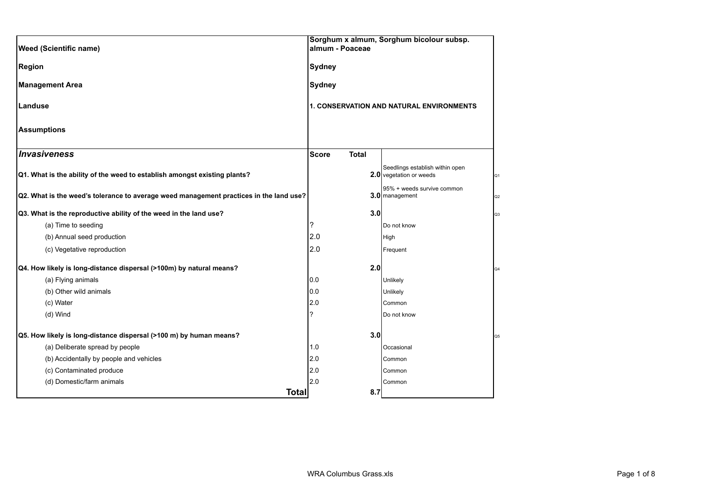| <b>Weed (Scientific name)</b>                                                          | almum - Poaceae              |     | Sorghum x almum, Sorghum bicolour subsp.                   |                |
|----------------------------------------------------------------------------------------|------------------------------|-----|------------------------------------------------------------|----------------|
| <b>Region</b>                                                                          | <b>Sydney</b>                |     |                                                            |                |
| <b>Management Area</b>                                                                 | <b>Sydney</b>                |     |                                                            |                |
| Landuse                                                                                |                              |     | 1. CONSERVATION AND NATURAL ENVIRONMENTS                   |                |
| <b>Assumptions</b>                                                                     |                              |     |                                                            |                |
| Invasiveness                                                                           | <b>Total</b><br><b>Score</b> |     |                                                            |                |
| Q1. What is the ability of the weed to establish amongst existing plants?              |                              |     | Seedlings establish within open<br>2.0 vegetation or weeds | Q <sub>1</sub> |
| Q2. What is the weed's tolerance to average weed management practices in the land use? |                              |     | 95% + weeds survive common<br>3.0 management               | Q <sub>2</sub> |
| Q3. What is the reproductive ability of the weed in the land use?                      |                              | 3.0 |                                                            | Q3             |
| (a) Time to seeding                                                                    | ?                            |     | Do not know                                                |                |
| (b) Annual seed production                                                             | 2.0                          |     | High                                                       |                |
| (c) Vegetative reproduction                                                            | 2.0                          |     | Frequent                                                   |                |
| Q4. How likely is long-distance dispersal (>100m) by natural means?                    |                              | 2.0 |                                                            | Q4             |
| (a) Flying animals                                                                     | 0.0                          |     | Unlikely                                                   |                |
| (b) Other wild animals                                                                 | 0.0                          |     | Unlikely                                                   |                |
| (c) Water                                                                              | 2.0                          |     | Common                                                     |                |
| (d) Wind                                                                               | ?                            |     | Do not know                                                |                |
| Q5. How likely is long-distance dispersal (>100 m) by human means?                     |                              | 3.0 |                                                            | Q5             |
| (a) Deliberate spread by people                                                        | 1.0                          |     | Occasional                                                 |                |
| (b) Accidentally by people and vehicles                                                | 2.0                          |     | Common                                                     |                |
| (c) Contaminated produce                                                               | 2.0                          |     | Common                                                     |                |
| (d) Domestic/farm animals                                                              | 2.0                          |     | Common                                                     |                |
| <b>Total</b>                                                                           |                              | 8.7 |                                                            |                |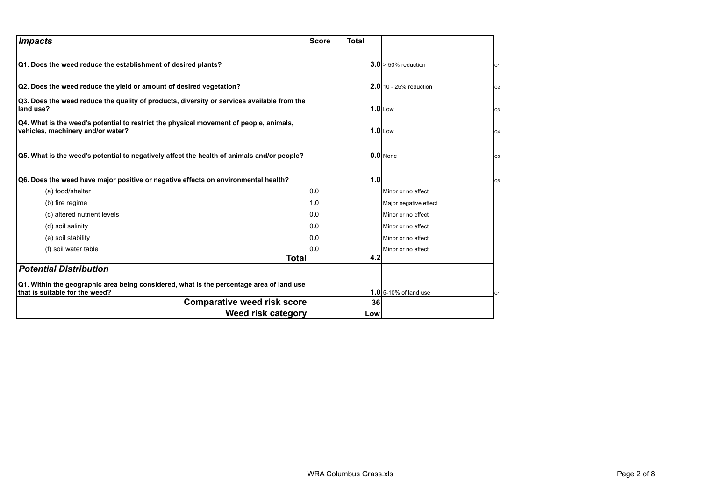| <i><b>Impacts</b></i>                                                                                                       | <b>Score</b><br><b>Total</b> |                                    |
|-----------------------------------------------------------------------------------------------------------------------------|------------------------------|------------------------------------|
| Q1. Does the weed reduce the establishment of desired plants?                                                               |                              | $3.0 > 50\%$ reduction<br>Q1       |
| Q2. Does the weed reduce the yield or amount of desired vegetation?                                                         |                              | $2.0$ 10 - 25% reduction<br>Q2     |
| Q3. Does the weed reduce the quality of products, diversity or services available from the<br>land use?                     |                              | $1.0$ Low<br>Q <sub>3</sub>        |
| Q4. What is the weed's potential to restrict the physical movement of people, animals,<br>vehicles, machinery and/or water? |                              | $1.0$ Low<br>Q4                    |
| Q5. What is the weed's potential to negatively affect the health of animals and/or people?                                  |                              | $0.0$ None<br>Q5                   |
| Q6. Does the weed have major positive or negative effects on environmental health?                                          | 1.0                          | Q6                                 |
| (a) food/shelter                                                                                                            | 0.0                          | Minor or no effect                 |
| (b) fire regime                                                                                                             | 1.0                          | Major negative effect              |
| (c) altered nutrient levels                                                                                                 | 0.0                          | Minor or no effect                 |
| (d) soil salinity                                                                                                           | 0.0                          | Minor or no effect                 |
| (e) soil stability                                                                                                          | 0.0                          | Minor or no effect                 |
| (f) soil water table                                                                                                        | 0.0                          | Minor or no effect                 |
| Totall                                                                                                                      | 4.2                          |                                    |
| <b>Potential Distribution</b>                                                                                               |                              |                                    |
| Q1. Within the geographic area being considered, what is the percentage area of land use<br>that is suitable for the weed?  |                              | <b>1.0</b> 5-10% of land use<br>Q1 |
| <b>Comparative weed risk score</b>                                                                                          | 36                           |                                    |
| Weed risk category                                                                                                          | Low                          |                                    |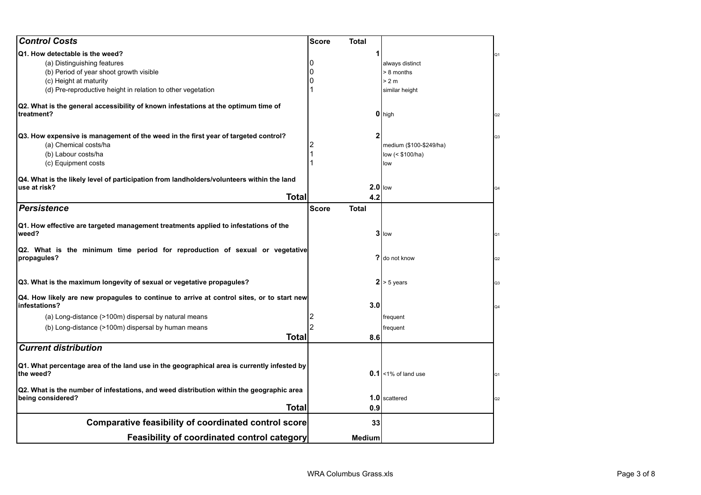| <b>Control Costs</b>                                                                             | <b>Score</b><br>Total        |                         |                |
|--------------------------------------------------------------------------------------------------|------------------------------|-------------------------|----------------|
| Q1. How detectable is the weed?                                                                  |                              |                         | Q1             |
| (a) Distinguishing features                                                                      |                              | always distinct         |                |
| (b) Period of year shoot growth visible                                                          |                              | > 8 months              |                |
| (c) Height at maturity                                                                           |                              | > 2 m                   |                |
| (d) Pre-reproductive height in relation to other vegetation                                      |                              | similar height          |                |
|                                                                                                  |                              |                         |                |
| Q2. What is the general accessibility of known infestations at the optimum time of<br>treatment? |                              | 0 high                  | Q2             |
| Q3. How expensive is management of the weed in the first year of targeted control?               | $\mathbf{2}$                 |                         |                |
| (a) Chemical costs/ha                                                                            |                              | medium (\$100-\$249/ha) | Q <sub>3</sub> |
| (b) Labour costs/ha                                                                              |                              | low (< \$100/ha)        |                |
| (c) Equipment costs                                                                              |                              | low                     |                |
|                                                                                                  |                              |                         |                |
| Q4. What is the likely level of participation from landholders/volunteers within the land        |                              |                         |                |
| use at risk?                                                                                     |                              | $2.0$ llow              | Q4             |
| <b>Total</b>                                                                                     | 4.2                          |                         |                |
| <b>Persistence</b>                                                                               | <b>Score</b><br><b>Total</b> |                         |                |
| Q1. How effective are targeted management treatments applied to infestations of the              |                              |                         |                |
| weed?                                                                                            |                              | $3$ low                 | Q1             |
| Q2. What is the minimum time period for reproduction of sexual or vegetative                     |                              |                         |                |
| propagules?                                                                                      |                              | ? do not know           | Q2             |
| Q3. What is the maximum longevity of sexual or vegetative propagules?                            |                              | $2 > 5$ years           | Q <sub>3</sub> |
| Q4. How likely are new propagules to continue to arrive at control sites, or to start new        |                              |                         |                |
| infestations?                                                                                    | 3.0                          |                         | Q4             |
| (a) Long-distance (>100m) dispersal by natural means                                             |                              | frequent                |                |
| (b) Long-distance (>100m) dispersal by human means                                               |                              | frequent                |                |
| <b>Total</b>                                                                                     | 8.6                          |                         |                |
| <b>Current distribution</b>                                                                      |                              |                         |                |
| Q1. What percentage area of the land use in the geographical area is currently infested by       |                              |                         |                |
| the weed?                                                                                        |                              | $0.1$ <1% of land use   | Q1             |
| Q2. What is the number of infestations, and weed distribution within the geographic area         |                              |                         |                |
| being considered?                                                                                |                              | 1.0 scattered           | Q2             |
| Total                                                                                            | 0.9                          |                         |                |
| <b>Comparative feasibility of coordinated control score</b>                                      | 33                           |                         |                |
| Feasibility of coordinated control category                                                      | <b>Medium</b>                |                         |                |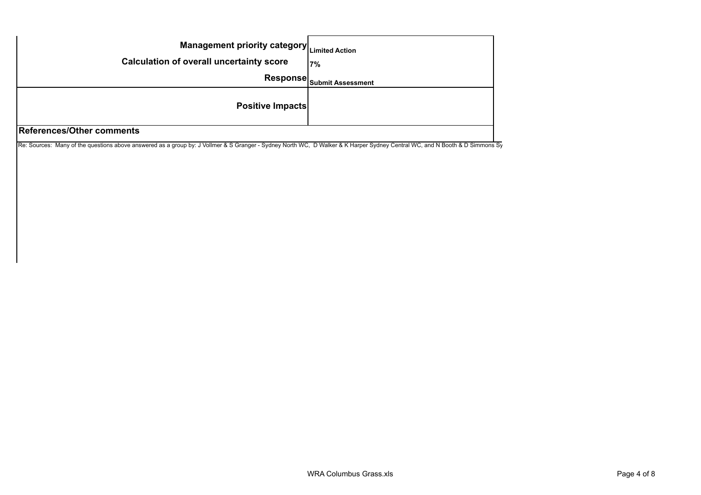| Management priority category Limited Action<br><b>Calculation of overall uncertainty score</b> | 7%                                           |
|------------------------------------------------------------------------------------------------|----------------------------------------------|
|                                                                                                | Response $ _{\mathsf{Submit \, Assessment}}$ |
| <b>Positive Impacts</b>                                                                        |                                              |
| References/Other comments                                                                      |                                              |

Re: Sources: Many of the questions above answered as a group by: J Vollmer & S Granger - Sydney North WC, D Walker & K Harper Sydney Central WC, and N Booth & D Simmons Sy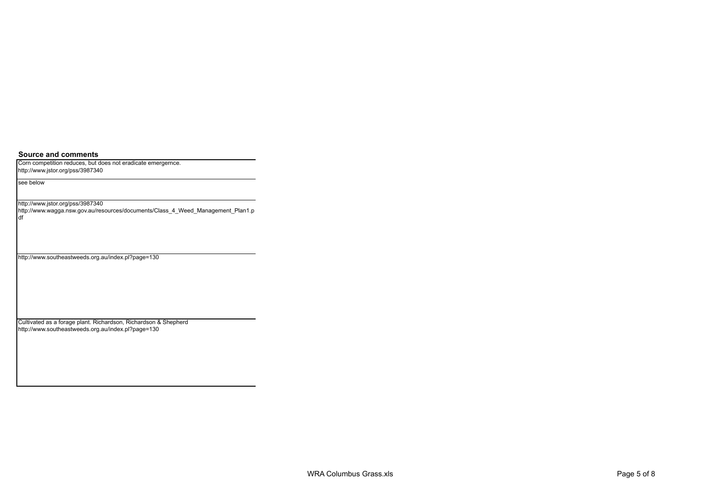**Source and comments**

Corn competition reduces, but does not eradicate emergernce. http://www.jstor.org/pss/3987340

see below

http://www.jstor.org/pss/3987340

http://www.wagga.nsw.gov.au/resources/documents/Class\_4\_Weed\_Management\_Plan1.p df

http://www.southeastweeds.org.au/index.pl?page=130

Cultivated as a forage plant. Richardson, Richardson & Shepherd http://www.southeastweeds.org.au/index.pl?page=130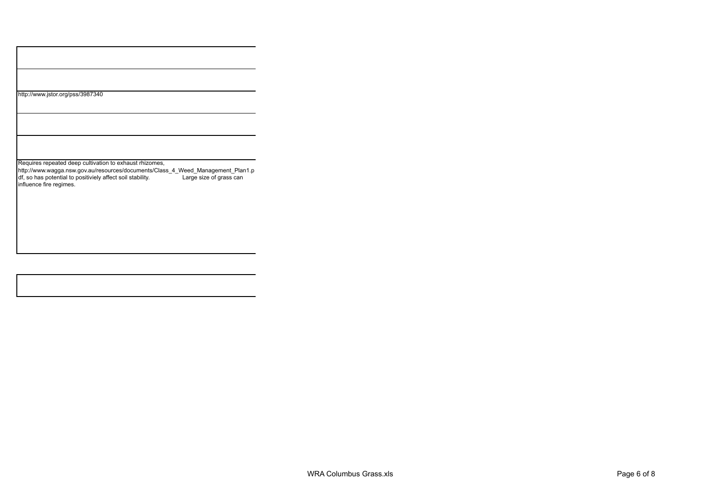| http://www.jstor.org/pss/3987340 |
|----------------------------------|
|----------------------------------|

Requires repeated deep cultivation to exhaust rhizomes,

http://www.wagga.nsw.gov.au/resources/documents/Class\_4\_Weed\_Management\_Plan1.p df, so has potential to positiviely affect soil stability. Large size of grass can influence fire regimes.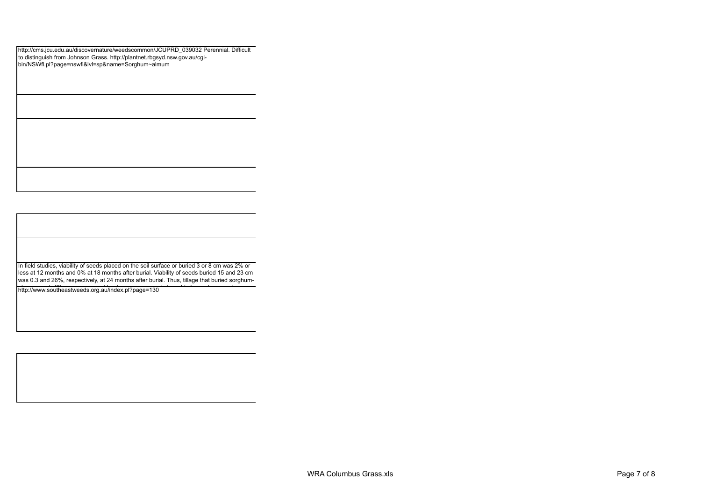http://cms.jcu.edu.au/discovernature/weedscommon/JCUPRD\_039032 Perennial. Difficult to distinguish from Johnson Grass. http://plantnet.rbgsyd.nsw.gov.au/cgibin/NSWfl.pl?page=nswfl&lvl=sp&name=Sorghum~almum

In field studies, viability of seeds placed on the soil surface or buried 3 or 8 cm was 2% or less at 12 months and 0% at 18 months after burial. Viability of seeds buried 15 and 23 cm was 0.3 and 26%, respectively, at 24 months after burial. Thus, tillage that buried sorghumalmum seeds 20 cm or more could reduce the processes but would also prolong seed the could also prolong seed t<br>http://www.southeastweeds.org.au/index.pl?page=130